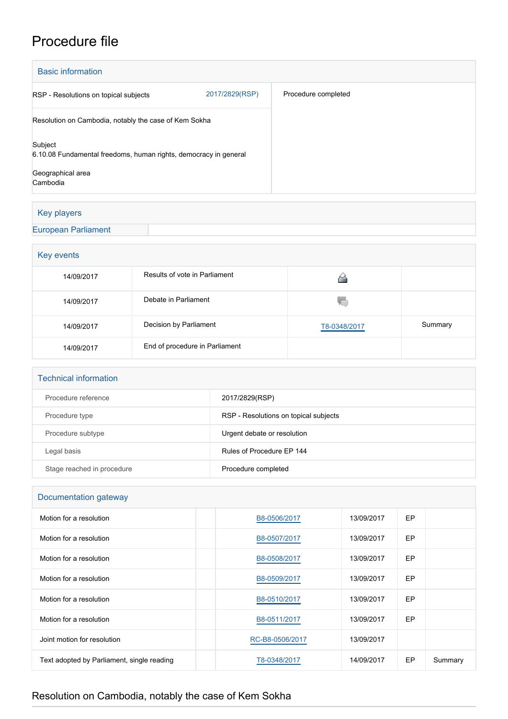## Procedure file

| <b>Basic information</b>                                                                         |                |                     |  |  |
|--------------------------------------------------------------------------------------------------|----------------|---------------------|--|--|
| RSP - Resolutions on topical subjects                                                            | 2017/2829(RSP) | Procedure completed |  |  |
| Resolution on Cambodia, notably the case of Kem Sokha                                            |                |                     |  |  |
| Subject<br>6.10.08 Fundamental freedoms, human rights, democracy in general<br>Geographical area |                |                     |  |  |
| Cambodia                                                                                         |                |                     |  |  |

## Key players

## [European Parliament](http://www.europarl.europa.eu/)

| Key events |                                |              |         |  |  |  |
|------------|--------------------------------|--------------|---------|--|--|--|
| 14/09/2017 | Results of vote in Parliament  |              |         |  |  |  |
| 14/09/2017 | Debate in Parliament           | ۷C           |         |  |  |  |
| 14/09/2017 | Decision by Parliament         | T8-0348/2017 | Summary |  |  |  |
| 14/09/2017 | End of procedure in Parliament |              |         |  |  |  |

| <b>Technical information</b> |                                       |  |  |  |
|------------------------------|---------------------------------------|--|--|--|
| Procedure reference          | 2017/2829(RSP)                        |  |  |  |
| Procedure type               | RSP - Resolutions on topical subjects |  |  |  |
| Procedure subtype            | Urgent debate or resolution           |  |  |  |
| Legal basis                  | Rules of Procedure EP 144             |  |  |  |
| Stage reached in procedure   | Procedure completed                   |  |  |  |

| Documentation gateway                      |                 |            |           |         |  |  |
|--------------------------------------------|-----------------|------------|-----------|---------|--|--|
| Motion for a resolution                    | B8-0506/2017    | 13/09/2017 | <b>EP</b> |         |  |  |
| Motion for a resolution                    | B8-0507/2017    | 13/09/2017 | EP        |         |  |  |
| Motion for a resolution                    | B8-0508/2017    | 13/09/2017 | <b>EP</b> |         |  |  |
| Motion for a resolution                    | B8-0509/2017    | 13/09/2017 | <b>EP</b> |         |  |  |
| Motion for a resolution                    | B8-0510/2017    | 13/09/2017 | <b>EP</b> |         |  |  |
| Motion for a resolution                    | B8-0511/2017    | 13/09/2017 | <b>EP</b> |         |  |  |
| Joint motion for resolution                | RC-B8-0506/2017 | 13/09/2017 |           |         |  |  |
| Text adopted by Parliament, single reading | T8-0348/2017    | 14/09/2017 | EP        | Summary |  |  |

## Resolution on Cambodia, notably the case of Kem Sokha